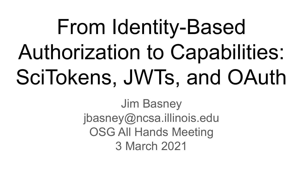# From Identity-Based Authorization to Capabilities: SciTokens, JWTs, and OAuth

Jim Basney jbasney@ncsa.illinois.edu OSG All Hands Meeting 3 March 2021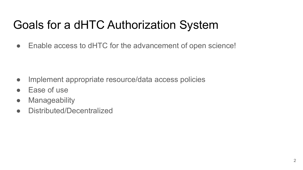## Goals for a dHTC Authorization System

• Enable access to dHTC for the advancement of open science!

- Implement appropriate resource/data access policies
- Ease of use
- Manageability
- Distributed/Decentralized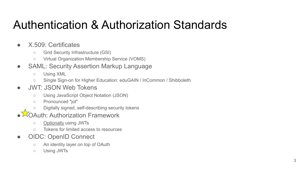### Authentication & Authorization Standards

- X.509: Certificates
	- Grid Security Infrastructure (GSI)
	- Virtual Organization Membership Service (VOMS)
- SAML: Security Assertion Markup Language
	- Using XML
	- Single Sign-on for Higher Education: eduGAIN / InCommon / Shibboleth

### ● JWT: JSON Web Tokens

- Using JavaScript Object Notation (JSON)
- Pronounced "jot"
- Digitally signed, self-describing security tokens
- **OAuth: Authorization Framework** 
	- Optionally using JWTs
	- Tokens for limited access to resources
- OIDC: OpenID Connect
	- An identity layer on top of OAuth
	- Using JWTs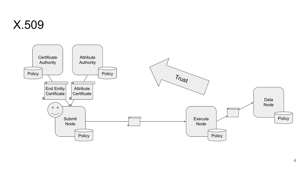

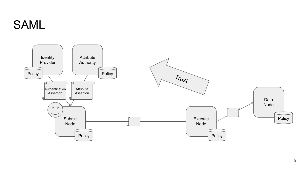### SAML

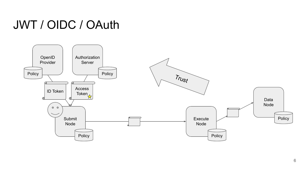### JWT / OIDC / OAuth

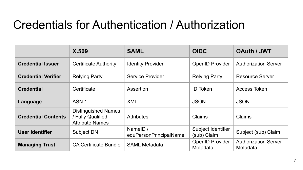### Credentials for Authentication / Authorization

|                            | X.509                                                                     | <b>SAML</b>                        | <b>OIDC</b>                        | <b>OAuth / JWT</b>                      |
|----------------------------|---------------------------------------------------------------------------|------------------------------------|------------------------------------|-----------------------------------------|
| <b>Credential Issuer</b>   | <b>Certificate Authority</b>                                              | <b>Identity Provider</b>           | <b>OpenID Provider</b>             | <b>Authorization Server</b>             |
| <b>Credential Verifier</b> | <b>Relying Party</b>                                                      | Service Provider                   | <b>Relying Party</b>               | <b>Resource Server</b>                  |
| <b>Credential</b>          | Certificate                                                               | Assertion                          | <b>ID Token</b>                    | Access Token                            |
| Language                   | ASN.1                                                                     | <b>XML</b>                         | <b>JSON</b>                        | <b>JSON</b>                             |
| <b>Credential Contents</b> | <b>Distinguished Names</b><br>/ Fully Qualified<br><b>Attribute Names</b> | <b>Attributes</b>                  | Claims                             | Claims                                  |
| User Identifier            | Subject DN                                                                | NameID /<br>eduPersonPrincipalName | Subject Identifier<br>(sub) Claim  | Subject (sub) Claim                     |
| <b>Managing Trust</b>      | <b>CA Certificate Bundle</b>                                              | <b>SAML Metadata</b>               | <b>OpenID Provider</b><br>Metadata | <b>Authorization Server</b><br>Metadata |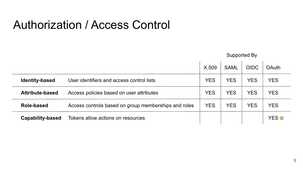### Authorization / Access Control

|                       |                                                      | Supported By |             |             |              |
|-----------------------|------------------------------------------------------|--------------|-------------|-------------|--------------|
|                       |                                                      | X.509        | <b>SAML</b> | <b>OIDC</b> | <b>OAuth</b> |
| <b>Identity-based</b> | User identifiers and access control lists            | <b>YES</b>   | <b>YES</b>  | <b>YES</b>  | <b>YES</b>   |
| Attribute-based       | Access policies based on user attributes             | <b>YES</b>   | <b>YES</b>  | <b>YES</b>  | <b>YES</b>   |
| Role-based            | Access controls based on group memberships and roles | <b>YES</b>   | <b>YES</b>  | <b>YES</b>  | <b>YES</b>   |
| Capability-based      | Tokens allow actions on resources                    |              |             |             | YES ☆        |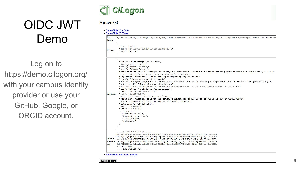# OIDC JWT Demo

Log on to https://demo.cilogon.org/ with your campus identity provider or use your GitHub, Google, or ORCID account.



### **Success!**

· Show/Hide User Info

· Show/Hide ID Token ID

eyJ0eXAiOiJKV1QiLCJraWQiOiIyNDRCMjM1RjZCMjhFMzQxMDhEMTAxRUFDNzM2MkM0RSIsImFsZyI6I1JTMjU2In0.eyJ1bWFpbCI6ImpiYXNuZX1AaWxs Token

"typ": "JWI", "kid": "244B235F6B28E34108D101EAC7362C4E", Header "alg": "RS256"

| Payload       | "email": "jbasnev@illinois.edu",<br>"given name": "James",<br>"family name": "Basney",<br>"name": "James Basney",<br>"cert subject dn": "/DC=org/DC=cilogon/C=US/O=National Center for Supercomputing Applications/CN=James Basney T37233",<br>"idp": "https://idp.ncsa.illinois.edu/idp/shibboleth",<br>"idp name": "National Center for Supercomputing Applications",<br>"eppn": "ibasnev@ncsa.illinois.edu",<br>"eptid": "https://idp.ncsa.illinois.edu/idp/shibboleth!https://cilogon.org/shibboleth!ChF3nEYtvG05351giwva5G4Xv0g=",<br>"subject id": "ibasnev@ncsa.illinois.edu",<br>"affiliation": "staff@ncsa.illinois.edu;emplovee@ncsa.illinois.edu;member@ncsa.illinois.edu",<br>"acr": "https://refeds.org/profile/mfa",<br>"iss": "https://cilogon.org",<br>"sub": "CIL1000027".<br>"aud": "cilogon:test.cilogon.org/demo",<br>"token id": "https://cilogon.org/oauth2/idToken/3cc7a5f035807fe7cf378b0c65ced64/1600985334883",<br>"nonce": "mPuM66sSNZ23NVq79M qMLrvwYzhP1aQNDZLckC9pXE",<br>"auth time": "1600985334",<br>"exp": 1600986234.<br>"iat": 1600985334,<br>"isMemberOf": [<br>"CO:members:all",<br>"CO:members:active",<br>"linux-users",<br>"scitokens" |
|---------------|---------------------------------------------------------------------------------------------------------------------------------------------------------------------------------------------------------------------------------------------------------------------------------------------------------------------------------------------------------------------------------------------------------------------------------------------------------------------------------------------------------------------------------------------------------------------------------------------------------------------------------------------------------------------------------------------------------------------------------------------------------------------------------------------------------------------------------------------------------------------------------------------------------------------------------------------------------------------------------------------------------------------------------------------------------------------------------------------------------------------------------------------------------------------------------|
| Public<br>key | -----REGIN PUBLIC KEY-----<br>MIIBIjANBgkqhkiG9w0BAQEFAAOCAQ8AMIIBCgKCAQEAhpJRWPJAv9yolz9ewiLJMk1udGZC0JSW<br>X10wgaTUpWgcvDricRmS0TVxWeDaHig71prkb7Yow0dBv20TWeeNN01HxT05nVDwg2j08IliR2Gs<br>cwi9pC6qektC9CXEBEEJYn10rx9kazSvMTwXD/92jZt3k8ixbuNzX6ZcfotXe/vmFu7Jtqxr9XYz<br>signing ZXTMMjXLC4qt02oURVHOMwjR0ziuIIn0wZXvy7kGScnRZgYvyTBpIfvsRtVIEye5XPnk+DCBRo76<br>9qMFCDXD10hc9ePaxLseght000XEqv8SZ6MnvjWpuvlxW6GPmVHK6h2tvD2Lk4GU09qsj8wrU1Kr<br>sUgfsOIDAOAB<br>-----END PUBLIC KEY-----                                                                                                                                                                                                                                                                                                                                                                                                                                                                                                                                                                                                                                                                                  |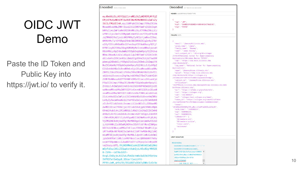## OIDC JWT Demo

Paste the ID Token and Public Key into https://jwt.io/ to verify it.

Encoded PASTE A TOKEN HERE

eyJ0eXAiOiJKV1QiLCJraWQiOiIyNDRCMjM1RjZ CMihFMzQxMDhEMTAxRUFDNzM2MkM0RSIsImFsZy I6IlJTMjU2In0.evJ1bWFpbCI6ImpiYXNuZX1Aa WxsaW5vaXMuZWR1IiwiZ212ZW5fbmFtZSI6Ikph bWVzIiwiZmFtaWx5X25hbWUiOiJCYXNuZXkiLCJ uYW11IjoiSmFtZXMgQmFzbmV5IiwiY2VydF9zdW JqZWN0X2RuIioiL0RDPW9vZv9E0z1iaWxvZ29uL 0M9VVMvTz10YXRpb25hbCBDZW50ZXIgZm9yIFN1 cGVyY29tcHV0aW5nIEFwcGxpY2F0aW9ucy9DTj1 KYW11cyBCYXNuZXkgVDM3MjMzIiwiaWRwIjoiaH R0cHM6Ly9pZHAubmNzYS5pbGxpbm9pcy51ZHUva WRwL3NoaWJib2x1dGgiLCJpZHBfbmFtZSI6Ik5h dGlvbmFsIENlbnRlciBmb3IqU3VwZXJjb21wdXR pbmcqQXBwbGljYXRpb25zIiwiZXBwbiI6ImpiYX NuZX1AbmNzYS5pbGxpbm9pcy51ZHUiLCJ1cHRpZ CI6Imh0dHBz0i8vaWRwLm5jc2EuaWxsaW5vaXMu ZWR1L2lkcC9zaGliYm9sZXRoIWh0dHBz0i8vY2l sb2dvbi5vcmcvc2hpYmJvbGV0aCFDaEYzbkVZdH ZHMFMzNWxxaXd2YTVHNFh2MGc9Iiwic3ViamVid F9pZCI6ImpiYXNuZX1AbmNzYS5pbGxpbm9pcv51 ZHUiLCJhZmZpbGlhdGlvbiI6InN0YWZm0G5ic2E uaWxsaW5vaXMuZWR102VtcGxveWV1QG5jc2EuaW xsaW5vaXMuZWR10211bWJ1ckBuY3NhLmlsbGlub 21zLmVkdSIsImFjciI6Imh0dHBz0i8vcmVmZWRz Lm9yZy9wcm9maWxlL21mYSIsImlzcyI6Imh0dHB z0i8vY21sb2dvbi5vcmciLCJzdWIi0iJDSUwxMD AwMDI3IiwiYXVkIjoiY21sb2dvbjp0ZXN0LmNpb G9nb24ub3JnL2R1bW8iLCJ0b2t1b19pZCI6Imh0 dHBz0i8vY21sb2dvbi5vcmcvb2F1dGqyL21kVG9 rZW4vM2NjN2E1ZjAzNTqwN2Z1N2NmMzc4YjBjNj VjZWQ2NC8xNjAw0Tq1MzM00DqzIiwibm9uY2Ui0 iJtUHVNNjZzU05aMjNOVmc30U1fcU1McnZ3WXpo UDFhUU5EWkxja0M5cFhFIiwiYXV0aF90aW1lIjo iMTYwMDk4NTMzNCIsImV4cCI6MTYwMDk4NiIzNC wiaWF0IjoxNjAw0Tg1MzM0LCJpc011bWJ1ck9mI ipbIkNPOm11bWJ1cnM6YWxsIiwi0086bWVtYmVv czphY3RpdmUiLCJsaW51eC11c2VycyIsInNjaXR va2VucyJdfQ.YhjN59Wn6lukkIChKHACCeDj8kU mOyfsDaz101LZIQupkxtKakQjdJ4Eu82g1WX52E K-IVHh--Ud1NolU51-Ovg2JIkDyjkJ61ZsAJfw6Sctm0cGuD2kGYDzHzw

3VPR37e13eQqz0\_S3Uar1lecLhYt-

PP9YvJwM\_uH9iFRjTB1A8STs03ATyDWhr2zGrXe

**Decoded** EDIT THE PAYLOAD AND SECRET

**HEADER: ALGORITHM & TOKEN TYPE** 

```
"typ": "JWT",
"kid": "244B235F6B28E34108D101EAC7362C4E",
"alg": "RS256"
```
### **PAYLOAD: DATA**

"email": "ibasnev@illinois.edu". "given\_name": "James", "family\_name": "Basney", "name": "James Basney" "cert\_subject\_dn": "/DC=org/DC=cilogon /C=US/O=National Center for Supercomputing Applications/CN=James Basney T37233" "idp": "https://idp.ncsa.illinois.edu /idp/shibboleth" "idp\_name": "National Center for Supercomputing Applications", "eppn": "ibasnev@ncsa.illinois.edu"; "eptid": "https://idp.ncsa.illinois.edu /idp/shibboleth!https://cilogon.org /shibboleth!ChF3nEYtvG0S35lqiwva5G4Xv0g=", "subject\_id": "jbasney@ncsa.illinois.edu", "affiliation": "staff@ncsa.illinois.edu;employee@ncsa.illinois.edu;mem ber@ncsa.illinois.edu" "acr": "https://refeds.org/profile/mfa", "iss": "https://cilogon.org", "sub": "CIL1000027" "aud": "cilogon:test.cilogon.org/demo". "token\_id": "https://cilogon.org/oauth2/idToken /3cc7a5f035807fe7cf378b0c65ced64/1600985334883". "nonce": "mPuM66sSNZ23NVg79M\_qMLrvwYzhP1aQNDZLckC9pXE", "auth\_time": "1600985334", "exp": 1600986234. "iat": 1600985334, "isMemberOf": [ "CO:members:all" "CO:members:active", "linux-users", "scitokens" **VERIFY SIGNATURE** 

```
RSASHA256(
 base64UrlEncode(header) + "." +
 base64UrlEncode(payload),
```
9qMFCDXD1Qhc9ePaxLseqht000XE < gv8SZ6MnvjWpuvlxW6GPmVHK6h2t vD2Lk4GU09qsj8wrU1Kr SUgfsQIDAQAB

-END PUBLIC KEY-----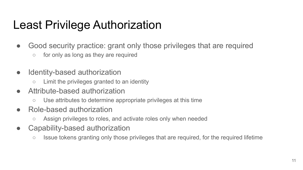### Least Privilege Authorization

- Good security practice: grant only those privileges that are required
	- $\circ$  for only as long as they are required
- Identity-based authorization
	- Limit the privileges granted to an identity
- Attribute-based authorization
	- Use attributes to determine appropriate privileges at this time
- Role-based authorization
	- Assign privileges to roles, and activate roles only when needed
- Capability-based authorization
	- Issue tokens granting only those privileges that are required, for the required lifetime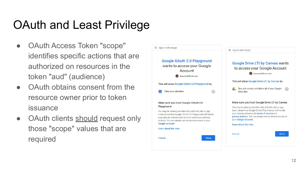# OAuth and Least Privilege

- OAuth Access Token "scope" identifies specific actions that are authorized on resources in the token "aud" (audience)
- OAuth obtains consent from the resource owner prior to token issuance
- OAuth clients should request only those "scope" values that are required

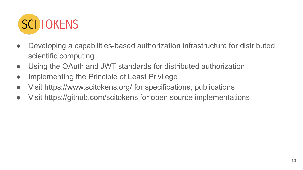

- Developing a capabilities-based authorization infrastructure for distributed scientific computing
- Using the OAuth and JWT standards for distributed authorization
- Implementing the Principle of Least Privilege
- Visit https://www.scitokens.org/ for specifications, publications
- Visit https://github.com/scitokens for open source implementations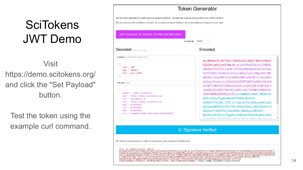## **SciTokens** JWT Demo

Visit https://demo.scitokens.org/ and click the "Set Payload" button.

Test the token using the example curl command.

### **Token Generator** Use this token generator to create your own sample SciTokens. Typically this would be done as part of an OAuth2 workflow Edit the payload of the SciToken on the left. An encoded and signed SciToken will be generated and displayed on the right. SET PAYLOAD TO ACCESS TO PROTECTED AREA **RS256 ALGORITHM Decoded FOLTHE PAYLOAD** Encoded **HEADER: ALGORITHM & TOKEN TYPE** eyJ0eXAiOiJKV1QiLCJhbGciOiJSUzI1NiIsImtpZ CI6ImtleS1yczI1NiJ9.eyJzY29wZSI6InJlYWQ6L "typ": "JWT", 3Byb3R1Y3R1ZCIsImF1ZCI6Imh0dHBz0i8vZGVtby "alg": "RS256" "kid": "key-rs256" 5zY210b2t1bnMub3JnIiwidmVyIjoic2NpdG9rZW4 6Mi4wIiwiaXNzIjoiaHR0cHM6Ly9kZW1vLnNjaXRv a2Vucy5vcmciLCJleHAi0jE2MTQ2MjAxODcsImlhd PAYLOAD: DATA CI6MTYxNDYxOTU4NywibmJmIjoxNjE0NjE5NTq3LC JqdGkiOiI2MTZhMzVkZi00YjA4LTQ2MWItYWQ20S1 "scope": "read:/protected", 10GFmMmRiODM5MjAifQ.OviNWWX6rd0zX\_WaQ8r9V "aud": "https://demo.scitokens.org", U08iVX3ozPjq0sAWcIFD7UK0taFStAP-"ver": "scitoken:2.0", "iss": "https://demo.scitokens.org", Ow8w9fh7cx8b\_TZZFJtrigvxwrPbj6mKzoVaRrgZa "exp": 1614620187. SwDowgbWR9X2DT6LZIhLFGG2wlDAt\_xBXi6O3wY7S "iat": 1614619587, GbGtb6Tv60SYIsjnskUkMA\_WwnSguiZWYnDf-"nbf": 1614619587, "jti": "616a35df-4b08-461b-ad69-e8af2db83920" Np02Qc3h2QIrKflgpMxCHHN7SolIN3ODFgwKEo3Gy LITHERIT CATTUREES AT ACONTECTION CONTINUES. **Signature Verified** Run the curl command below in order to test access to the protected SciTokens area

curl -H "Authorization: Bearer eyJexAiOiJKV101LCJhbGciOiJSUzINiIsImtpZCI6ImtleS1yczINiJ9.eyJzY29wZSI6InJlYWQ6L3Byb3RlY3RlZCIsImF1ZCI6Imh0dHBzOi8vZGVtby5zY2l0b2tl<br>bnMub3JnIiwidmVy1JoiZ2NpdG9rZN46M14WIiwiaXkzIjoidHR6cHM6Ly9kZW1vLnNjaXRva2Vucy3vcmciLCJldHA cwXOqvanNbppI1Pm99dpz2\_74EUWYbgzWDqftcPX0b\_\_CMpxlSn8QcdamdIG65NyQ" https://demo.scitokens.org/protected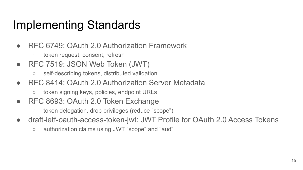### Implementing Standards

- RFC 6749: OAuth 2.0 Authorization Framework
	- token request, consent, refresh
- RFC 7519: JSON Web Token (JWT)
	- self-describing tokens, distributed validation
- RFC 8414: OAuth 2.0 Authorization Server Metadata
	- token signing keys, policies, endpoint URLs
- RFC 8693: OAuth 2.0 Token Exchange
	- token delegation, drop privileges (reduce "scope")
- draft-ietf-oauth-access-token-jwt: JWT Profile for OAuth 2.0 Access Tokens
	- authorization claims using JWT "scope" and "aud"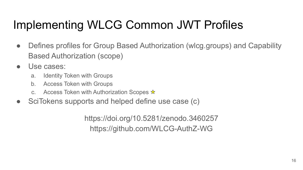# Implementing WLCG Common JWT Profiles

- Defines profiles for Group Based Authorization (wlcg.groups) and Capability Based Authorization (scope)
- Use cases:
	- a. Identity Token with Groups
	- b. Access Token with Groups
	- c. Access Token with Authorization Scopes  $\star$
- SciTokens supports and helped define use case (c)

https://doi.org/10.5281/zenodo.3460257 https://github.com/WLCG-AuthZ-WG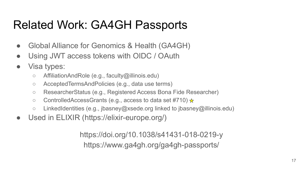### Related Work: GA4GH Passports

- Global Alliance for Genomics & Health (GA4GH)
- Using JWT access tokens with OIDC / OAuth
- Visa types:
	- AffiliationAndRole (e.g., faculty@illinois.edu)
	- AcceptedTermsAndPolicies (e.g., data use terms)
	- ResearcherStatus (e.g., Registered Access Bona Fide Researcher)
	- ControlledAccessGrants (e.g., access to data set #710)  $\star$
	- LinkedIdentities (e.g., jbasney@xsede.org linked to jbasney@illinois.edu)
- Used in ELIXIR (https://elixir-europe.org/)

https://doi.org/10.1038/s41431-018-0219-y https://www.ga4gh.org/ga4gh-passports/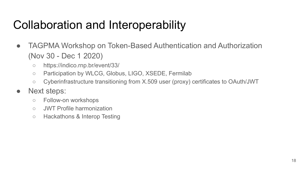### Collaboration and Interoperability

- TAGPMA Workshop on Token-Based Authentication and Authorization (Nov 30 - Dec 1 2020)
	- https://indico.rnp.br/event/33/
	- Participation by WLCG, Globus, LIGO, XSEDE, Fermilab
	- Cyberinfrastructure transitioning from X.509 user (proxy) certificates to OAuth/JWT
- Next steps:
	- Follow-on workshops
	- JWT Profile harmonization
	- Hackathons & Interop Testing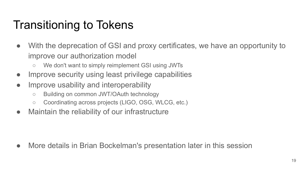# Transitioning to Tokens

- With the deprecation of GSI and proxy certificates, we have an opportunity to improve our authorization model
	- We don't want to simply reimplement GSI using JWTs
- Improve security using least privilege capabilities
- Improve usability and interoperability
	- Building on common JWT/OAuth technology
	- Coordinating across projects (LIGO, OSG, WLCG, etc.)
- Maintain the reliability of our infrastructure

• More details in Brian Bockelman's presentation later in this session